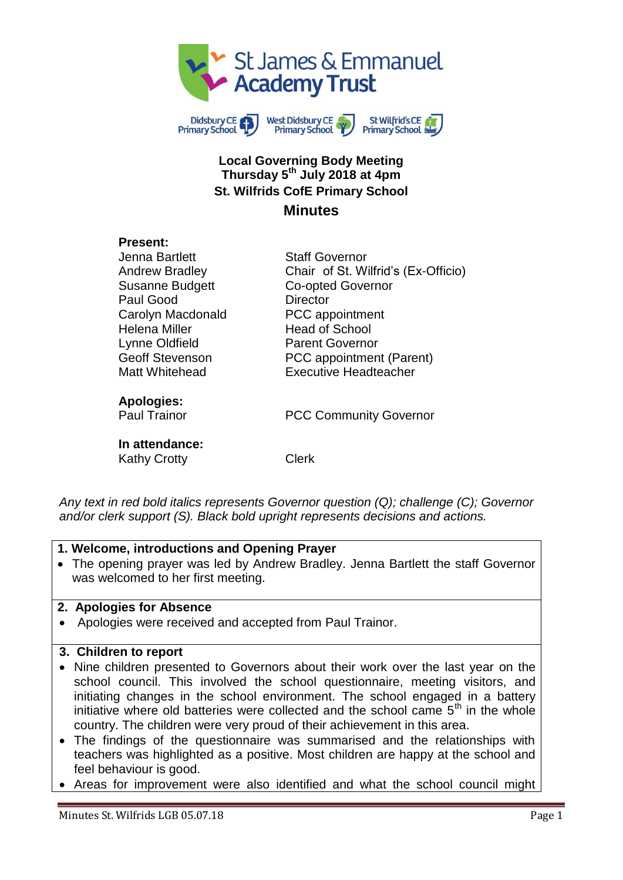



### **Local Governing Body Meeting Thursday 5 th July 2018 at 4pm St. Wilfrids CofE Primary School Minutes**

#### **Present:**

| Jenna Bartlett<br><b>Andrew Bradley</b><br><b>Susanne Budgett</b><br>Paul Good<br>Carolyn Macdonald<br><b>Helena Miller</b><br>Lynne Oldfield<br><b>Geoff Stevenson</b><br>Matt Whitehead | <b>Staff Governor</b><br>Chair of St. Wilfrid's (Ex-Officio)<br><b>Co-opted Governor</b><br>Director<br>PCC appointment<br><b>Head of School</b><br><b>Parent Governor</b><br>PCC appointment (Parent)<br><b>Executive Headteacher</b> |
|-------------------------------------------------------------------------------------------------------------------------------------------------------------------------------------------|----------------------------------------------------------------------------------------------------------------------------------------------------------------------------------------------------------------------------------------|
| <b>Apologies:</b><br><b>Paul Trainor</b>                                                                                                                                                  | <b>PCC Community Governor</b>                                                                                                                                                                                                          |
| In attendance:<br><b>Kathy Crotty</b>                                                                                                                                                     | Clerk                                                                                                                                                                                                                                  |

*Any text in red bold italics represents Governor question (Q); challenge (C); Governor and/or clerk support (S). Black bold upright represents decisions and actions.*

#### **1. Welcome, introductions and Opening Prayer**

 The opening prayer was led by Andrew Bradley. Jenna Bartlett the staff Governor was welcomed to her first meeting.

#### **2. Apologies for Absence**

Apologies were received and accepted from Paul Trainor.

#### **3. Children to report**

- Nine children presented to Governors about their work over the last year on the school council. This involved the school questionnaire, meeting visitors, and initiating changes in the school environment. The school engaged in a battery initiative where old batteries were collected and the school came  $5<sup>th</sup>$  in the whole country. The children were very proud of their achievement in this area.
- The findings of the questionnaire was summarised and the relationships with teachers was highlighted as a positive. Most children are happy at the school and feel behaviour is good.
- Areas for improvement were also identified and what the school council might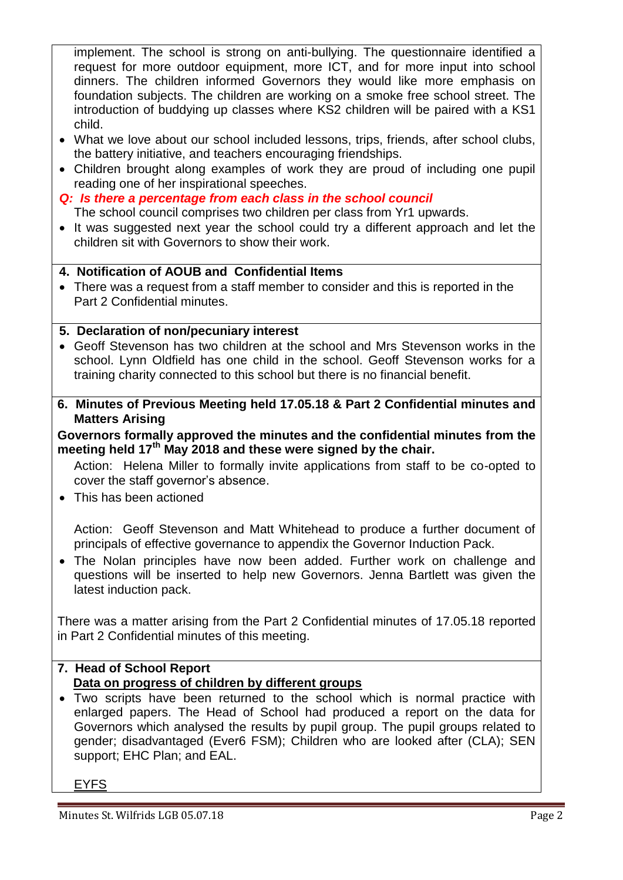implement. The school is strong on anti-bullying. The questionnaire identified a request for more outdoor equipment, more ICT, and for more input into school dinners. The children informed Governors they would like more emphasis on foundation subjects. The children are working on a smoke free school street. The introduction of buddying up classes where KS2 children will be paired with a KS1 child.

- What we love about our school included lessons, trips, friends, after school clubs, the battery initiative, and teachers encouraging friendships.
- Children brought along examples of work they are proud of including one pupil reading one of her inspirational speeches.
- *Q: Is there a percentage from each class in the school council*

The school council comprises two children per class from Yr1 upwards.

• It was suggested next year the school could try a different approach and let the children sit with Governors to show their work.

## **4. Notification of AOUB and Confidential Items**

 There was a request from a staff member to consider and this is reported in the Part 2 Confidential minutes.

## **5. Declaration of non/pecuniary interest**

- Geoff Stevenson has two children at the school and Mrs Stevenson works in the school. Lynn Oldfield has one child in the school. Geoff Stevenson works for a training charity connected to this school but there is no financial benefit.
- **6. Minutes of Previous Meeting held 17.05.18 & Part 2 Confidential minutes and Matters Arising**

### **Governors formally approved the minutes and the confidential minutes from the meeting held 17th May 2018 and these were signed by the chair.**

Action: Helena Miller to formally invite applications from staff to be co-opted to cover the staff governor's absence.

This has been actioned

Action: Geoff Stevenson and Matt Whitehead to produce a further document of principals of effective governance to appendix the Governor Induction Pack.

 The Nolan principles have now been added. Further work on challenge and questions will be inserted to help new Governors. Jenna Bartlett was given the latest induction pack.

There was a matter arising from the Part 2 Confidential minutes of 17.05.18 reported in Part 2 Confidential minutes of this meeting.

# **7. Head of School Report Data on progress of children by different groups**

 Two scripts have been returned to the school which is normal practice with enlarged papers. The Head of School had produced a report on the data for Governors which analysed the results by pupil group. The pupil groups related to gender; disadvantaged (Ever6 FSM); Children who are looked after (CLA); SEN support; EHC Plan; and EAL.

EYFS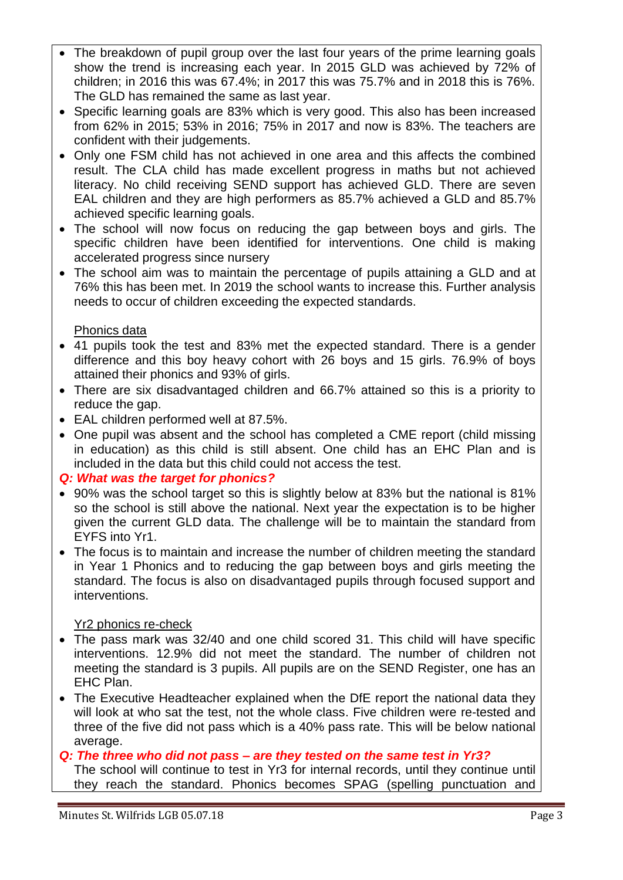- The breakdown of pupil group over the last four years of the prime learning goals show the trend is increasing each year. In 2015 GLD was achieved by 72% of children; in 2016 this was 67.4%; in 2017 this was 75.7% and in 2018 this is 76%. The GLD has remained the same as last year.
- Specific learning goals are 83% which is very good. This also has been increased from 62% in 2015; 53% in 2016; 75% in 2017 and now is 83%. The teachers are confident with their judgements.
- Only one FSM child has not achieved in one area and this affects the combined result. The CLA child has made excellent progress in maths but not achieved literacy. No child receiving SEND support has achieved GLD. There are seven EAL children and they are high performers as 85.7% achieved a GLD and 85.7% achieved specific learning goals.
- The school will now focus on reducing the gap between boys and girls. The specific children have been identified for interventions. One child is making accelerated progress since nursery
- The school aim was to maintain the percentage of pupils attaining a GLD and at 76% this has been met. In 2019 the school wants to increase this. Further analysis needs to occur of children exceeding the expected standards.

## Phonics data

- 41 pupils took the test and 83% met the expected standard. There is a gender difference and this boy heavy cohort with 26 boys and 15 girls. 76.9% of boys attained their phonics and 93% of girls.
- There are six disadvantaged children and 66.7% attained so this is a priority to reduce the gap.
- EAL children performed well at 87.5%.
- One pupil was absent and the school has completed a CME report (child missing in education) as this child is still absent. One child has an EHC Plan and is included in the data but this child could not access the test.

## *Q: What was the target for phonics?*

- 90% was the school target so this is slightly below at 83% but the national is 81% so the school is still above the national. Next year the expectation is to be higher given the current GLD data. The challenge will be to maintain the standard from EYFS into Yr1.
- The focus is to maintain and increase the number of children meeting the standard in Year 1 Phonics and to reducing the gap between boys and girls meeting the standard. The focus is also on disadvantaged pupils through focused support and interventions.

# Yr2 phonics re-check

- The pass mark was 32/40 and one child scored 31. This child will have specific interventions. 12.9% did not meet the standard. The number of children not meeting the standard is 3 pupils. All pupils are on the SEND Register, one has an EHC Plan.
- The Executive Headteacher explained when the DfE report the national data they will look at who sat the test, not the whole class. Five children were re-tested and three of the five did not pass which is a 40% pass rate. This will be below national average.

## *Q: The three who did not pass – are they tested on the same test in Yr3?*

The school will continue to test in Yr3 for internal records, until they continue until they reach the standard. Phonics becomes SPAG (spelling punctuation and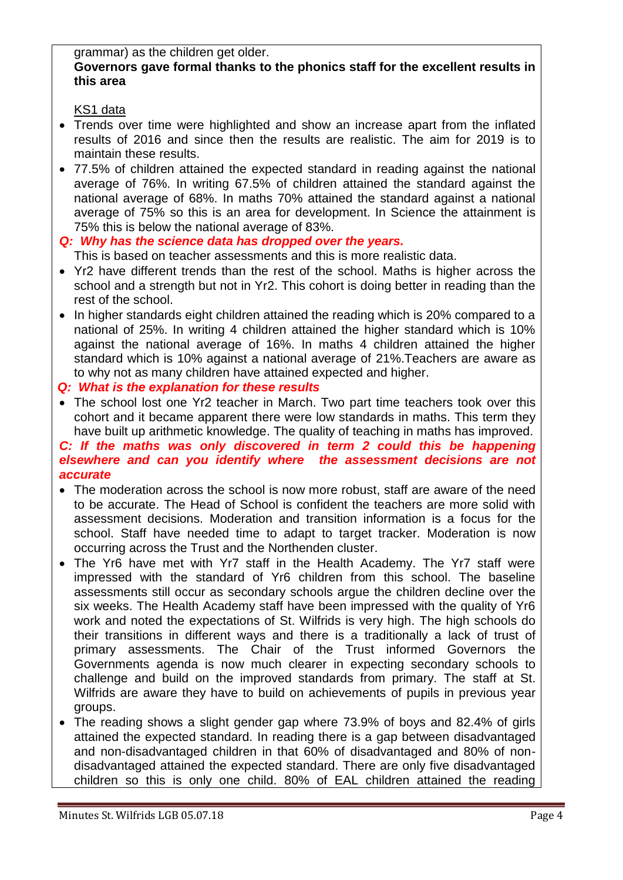#### grammar) as the children get older. **Governors gave formal thanks to the phonics staff for the excellent results in this area**

## KS1 data

- Trends over time were highlighted and show an increase apart from the inflated results of 2016 and since then the results are realistic. The aim for 2019 is to maintain these results.
- 77.5% of children attained the expected standard in reading against the national average of 76%. In writing 67.5% of children attained the standard against the national average of 68%. In maths 70% attained the standard against a national average of 75% so this is an area for development. In Science the attainment is 75% this is below the national average of 83%.

# *Q: Why has the science data has dropped over the years.*

This is based on teacher assessments and this is more realistic data.

- Yr2 have different trends than the rest of the school. Maths is higher across the school and a strength but not in Yr2. This cohort is doing better in reading than the rest of the school.
- In higher standards eight children attained the reading which is 20% compared to a national of 25%. In writing 4 children attained the higher standard which is 10% against the national average of 16%. In maths 4 children attained the higher standard which is 10% against a national average of 21%.Teachers are aware as to why not as many children have attained expected and higher.

### *Q: What is the explanation for these results*

• The school lost one Yr2 teacher in March. Two part time teachers took over this cohort and it became apparent there were low standards in maths. This term they have built up arithmetic knowledge. The quality of teaching in maths has improved.

## *C: If the maths was only discovered in term 2 could this be happening elsewhere and can you identify where the assessment decisions are not accurate*

- The moderation across the school is now more robust, staff are aware of the need to be accurate. The Head of School is confident the teachers are more solid with assessment decisions. Moderation and transition information is a focus for the school. Staff have needed time to adapt to target tracker. Moderation is now occurring across the Trust and the Northenden cluster.
- The Yr6 have met with Yr7 staff in the Health Academy. The Yr7 staff were impressed with the standard of Yr6 children from this school. The baseline assessments still occur as secondary schools argue the children decline over the six weeks. The Health Academy staff have been impressed with the quality of Yr6 work and noted the expectations of St. Wilfrids is very high. The high schools do their transitions in different ways and there is a traditionally a lack of trust of primary assessments. The Chair of the Trust informed Governors the Governments agenda is now much clearer in expecting secondary schools to challenge and build on the improved standards from primary. The staff at St. Wilfrids are aware they have to build on achievements of pupils in previous year groups.
- The reading shows a slight gender gap where 73.9% of boys and 82.4% of girls attained the expected standard. In reading there is a gap between disadvantaged and non-disadvantaged children in that 60% of disadvantaged and 80% of nondisadvantaged attained the expected standard. There are only five disadvantaged children so this is only one child. 80% of EAL children attained the reading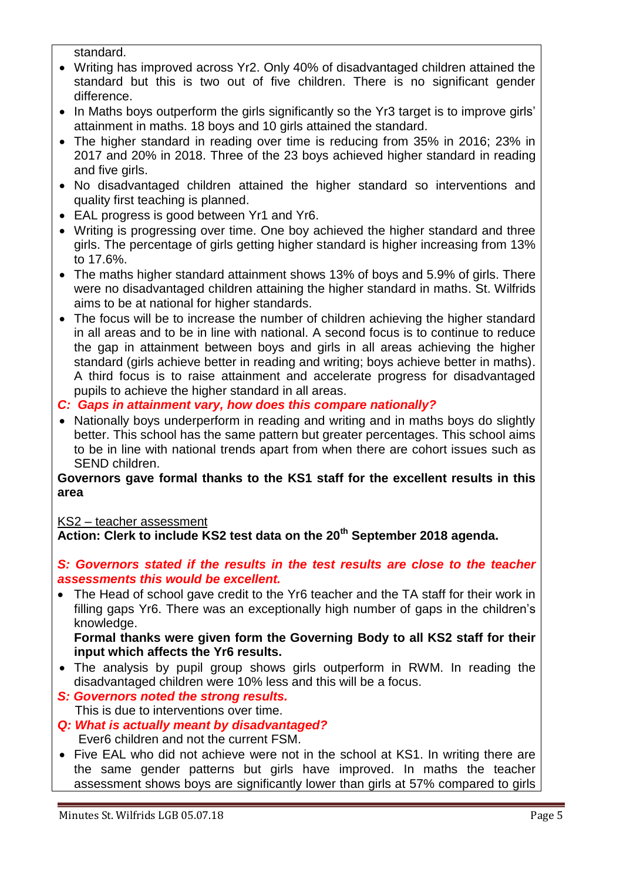standard.

- Writing has improved across Yr2. Only 40% of disadvantaged children attained the standard but this is two out of five children. There is no significant gender difference.
- In Maths boys outperform the girls significantly so the Yr3 target is to improve girls' attainment in maths. 18 boys and 10 girls attained the standard.
- The higher standard in reading over time is reducing from 35% in 2016; 23% in 2017 and 20% in 2018. Three of the 23 boys achieved higher standard in reading and five girls.
- No disadvantaged children attained the higher standard so interventions and quality first teaching is planned.
- EAL progress is good between Yr1 and Yr6.
- Writing is progressing over time. One boy achieved the higher standard and three girls. The percentage of girls getting higher standard is higher increasing from 13% to 17.6%.
- The maths higher standard attainment shows 13% of boys and 5.9% of girls. There were no disadvantaged children attaining the higher standard in maths. St. Wilfrids aims to be at national for higher standards.
- The focus will be to increase the number of children achieving the higher standard in all areas and to be in line with national. A second focus is to continue to reduce the gap in attainment between boys and girls in all areas achieving the higher standard (girls achieve better in reading and writing; boys achieve better in maths). A third focus is to raise attainment and accelerate progress for disadvantaged pupils to achieve the higher standard in all areas.
- *C: Gaps in attainment vary, how does this compare nationally?*
- Nationally boys underperform in reading and writing and in maths boys do slightly better. This school has the same pattern but greater percentages. This school aims to be in line with national trends apart from when there are cohort issues such as SEND children.

#### **Governors gave formal thanks to the KS1 staff for the excellent results in this area**

## KS2 – teacher assessment

**Action: Clerk to include KS2 test data on the 20th September 2018 agenda.**

#### *S: Governors stated if the results in the test results are close to the teacher assessments this would be excellent.*

 The Head of school gave credit to the Yr6 teacher and the TA staff for their work in filling gaps Yr6. There was an exceptionally high number of gaps in the children's knowledge.

**Formal thanks were given form the Governing Body to all KS2 staff for their input which affects the Yr6 results.** 

- The analysis by pupil group shows girls outperform in RWM. In reading the disadvantaged children were 10% less and this will be a focus.
- *S: Governors noted the strong results.* This is due to interventions over time.
- *Q: What is actually meant by disadvantaged?* Ever6 children and not the current FSM.
- Five EAL who did not achieve were not in the school at KS1. In writing there are the same gender patterns but girls have improved. In maths the teacher assessment shows boys are significantly lower than girls at 57% compared to girls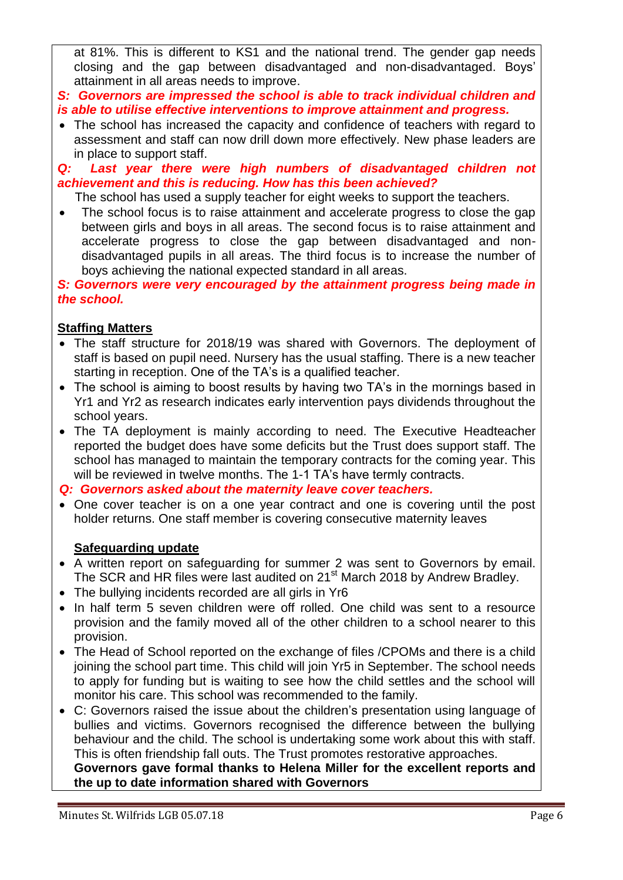at 81%. This is different to KS1 and the national trend. The gender gap needs closing and the gap between disadvantaged and non-disadvantaged. Boys' attainment in all areas needs to improve.

*S: Governors are impressed the school is able to track individual children and is able to utilise effective interventions to improve attainment and progress.*

• The school has increased the capacity and confidence of teachers with regard to assessment and staff can now drill down more effectively. New phase leaders are in place to support staff.

*Q: Last year there were high numbers of disadvantaged children not achievement and this is reducing. How has this been achieved?*

- The school has used a supply teacher for eight weeks to support the teachers.
- The school focus is to raise attainment and accelerate progress to close the gap between girls and boys in all areas. The second focus is to raise attainment and accelerate progress to close the gap between disadvantaged and nondisadvantaged pupils in all areas. The third focus is to increase the number of boys achieving the national expected standard in all areas.

*S: Governors were very encouraged by the attainment progress being made in the school.*

## **Staffing Matters**

- The staff structure for 2018/19 was shared with Governors. The deployment of staff is based on pupil need. Nursery has the usual staffing. There is a new teacher starting in reception. One of the TA's is a qualified teacher.
- The school is aiming to boost results by having two TA's in the mornings based in Yr1 and Yr2 as research indicates early intervention pays dividends throughout the school years.
- The TA deployment is mainly according to need. The Executive Headteacher reported the budget does have some deficits but the Trust does support staff. The school has managed to maintain the temporary contracts for the coming year. This will be reviewed in twelve months. The 1-1 TA's have termly contracts.

*Q: Governors asked about the maternity leave cover teachers.*

 One cover teacher is on a one year contract and one is covering until the post holder returns. One staff member is covering consecutive maternity leaves

## **Safeguarding update**

- A written report on safeguarding for summer 2 was sent to Governors by email. The SCR and HR files were last audited on 21<sup>st</sup> March 2018 by Andrew Bradley.
- The bullying incidents recorded are all girls in Yr6
- In half term 5 seven children were off rolled. One child was sent to a resource provision and the family moved all of the other children to a school nearer to this provision.
- The Head of School reported on the exchange of files /CPOMs and there is a child joining the school part time. This child will join Yr5 in September. The school needs to apply for funding but is waiting to see how the child settles and the school will monitor his care. This school was recommended to the family.
- C: Governors raised the issue about the children's presentation using language of bullies and victims. Governors recognised the difference between the bullying behaviour and the child. The school is undertaking some work about this with staff. This is often friendship fall outs. The Trust promotes restorative approaches. **Governors gave formal thanks to Helena Miller for the excellent reports and the up to date information shared with Governors**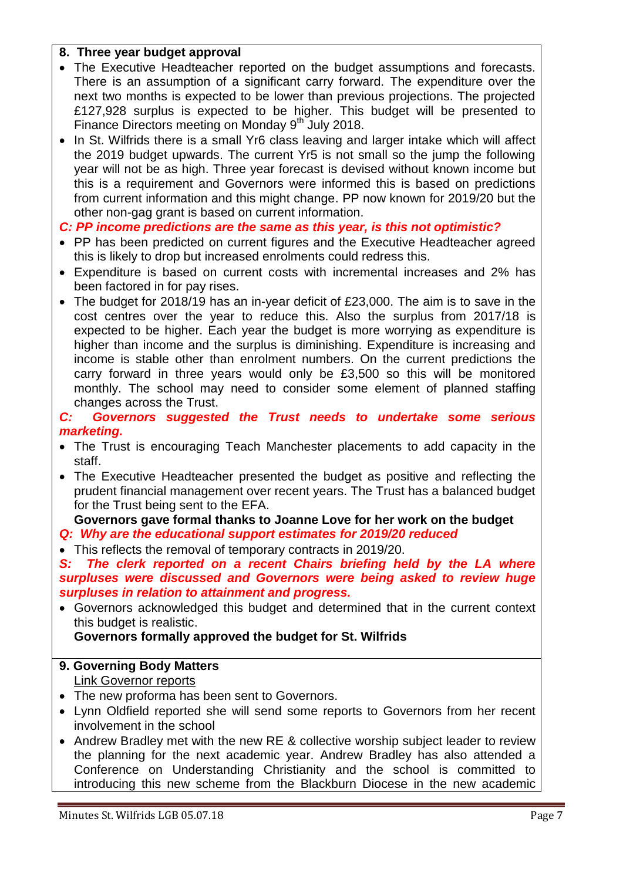### **8. Three year budget approval**

- The Executive Headteacher reported on the budget assumptions and forecasts. There is an assumption of a significant carry forward. The expenditure over the next two months is expected to be lower than previous projections. The projected £127,928 surplus is expected to be higher. This budget will be presented to Finance Directors meeting on Monday 9<sup>th</sup> July 2018.
- In St. Wilfrids there is a small Yr6 class leaving and larger intake which will affect the 2019 budget upwards. The current Yr5 is not small so the jump the following year will not be as high. Three year forecast is devised without known income but this is a requirement and Governors were informed this is based on predictions from current information and this might change. PP now known for 2019/20 but the other non-gag grant is based on current information.

### *C: PP income predictions are the same as this year, is this not optimistic?*

- PP has been predicted on current figures and the Executive Headteacher agreed this is likely to drop but increased enrolments could redress this.
- Expenditure is based on current costs with incremental increases and 2% has been factored in for pay rises.
- The budget for 2018/19 has an in-year deficit of £23,000. The aim is to save in the cost centres over the year to reduce this. Also the surplus from 2017/18 is expected to be higher. Each year the budget is more worrying as expenditure is higher than income and the surplus is diminishing. Expenditure is increasing and income is stable other than enrolment numbers. On the current predictions the carry forward in three years would only be £3,500 so this will be monitored monthly. The school may need to consider some element of planned staffing changes across the Trust.
- *C: Governors suggested the Trust needs to undertake some serious marketing.*
- The Trust is encouraging Teach Manchester placements to add capacity in the staff.
- The Executive Headteacher presented the budget as positive and reflecting the prudent financial management over recent years. The Trust has a balanced budget for the Trust being sent to the EFA.

#### **Governors gave formal thanks to Joanne Love for her work on the budget** *Q: Why are the educational support estimates for 2019/20 reduced*

• This reflects the removal of temporary contracts in 2019/20.

S: The clerk reported on a recent Chairs briefing held by the LA where *surpluses were discussed and Governors were being asked to review huge surpluses in relation to attainment and progress.* 

 Governors acknowledged this budget and determined that in the current context this budget is realistic.

## **Governors formally approved the budget for St. Wilfrids**

#### **9. Governing Body Matters**  Link Governor reports

- The new proforma has been sent to Governors.
- Lynn Oldfield reported she will send some reports to Governors from her recent involvement in the school
- Andrew Bradley met with the new RE & collective worship subject leader to review the planning for the next academic year. Andrew Bradley has also attended a Conference on Understanding Christianity and the school is committed to introducing this new scheme from the Blackburn Diocese in the new academic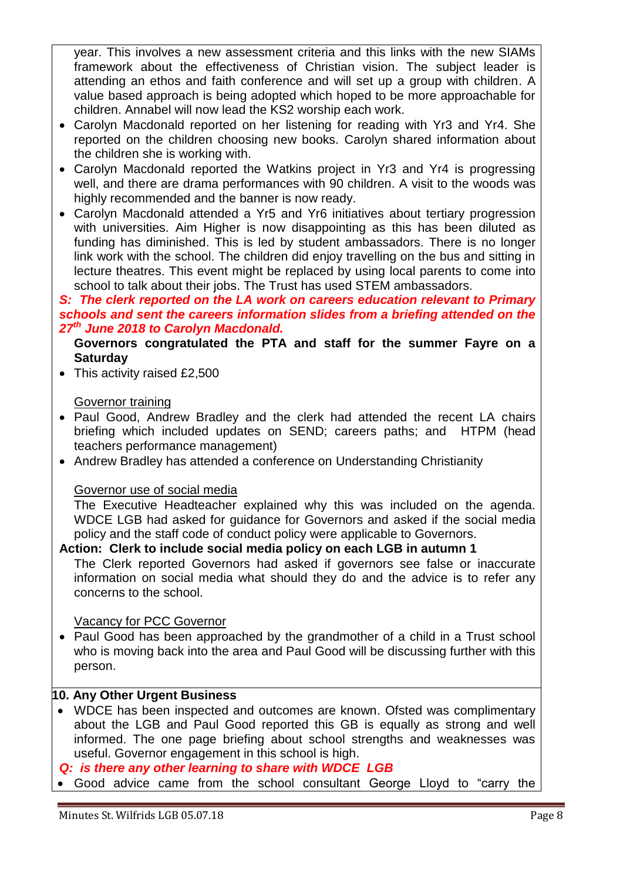year. This involves a new assessment criteria and this links with the new SIAMs framework about the effectiveness of Christian vision. The subject leader is attending an ethos and faith conference and will set up a group with children. A value based approach is being adopted which hoped to be more approachable for children. Annabel will now lead the KS2 worship each work.

- Carolyn Macdonald reported on her listening for reading with Yr3 and Yr4. She reported on the children choosing new books. Carolyn shared information about the children she is working with.
- Carolyn Macdonald reported the Watkins project in Yr3 and Yr4 is progressing well, and there are drama performances with 90 children. A visit to the woods was highly recommended and the banner is now ready.
- Carolyn Macdonald attended a Yr5 and Yr6 initiatives about tertiary progression with universities. Aim Higher is now disappointing as this has been diluted as funding has diminished. This is led by student ambassadors. There is no longer link work with the school. The children did enjoy travelling on the bus and sitting in lecture theatres. This event might be replaced by using local parents to come into school to talk about their jobs. The Trust has used STEM ambassadors.

### *S: The clerk reported on the LA work on careers education relevant to Primary schools and sent the careers information slides from a briefing attended on the 27th June 2018 to Carolyn Macdonald.*

### **Governors congratulated the PTA and staff for the summer Fayre on a Saturday**

• This activity raised £2,500

### Governor training

- Paul Good, Andrew Bradley and the clerk had attended the recent LA chairs briefing which included updates on SEND; careers paths; and HTPM (head teachers performance management)
- Andrew Bradley has attended a conference on Understanding Christianity

#### Governor use of social media

 The Executive Headteacher explained why this was included on the agenda. WDCE LGB had asked for guidance for Governors and asked if the social media policy and the staff code of conduct policy were applicable to Governors.

### **Action: Clerk to include social media policy on each LGB in autumn 1**

 The Clerk reported Governors had asked if governors see false or inaccurate information on social media what should they do and the advice is to refer any concerns to the school.

#### Vacancy for PCC Governor

• Paul Good has been approached by the grandmother of a child in a Trust school who is moving back into the area and Paul Good will be discussing further with this person.

### **10. Any Other Urgent Business**

 WDCE has been inspected and outcomes are known. Ofsted was complimentary about the LGB and Paul Good reported this GB is equally as strong and well informed. The one page briefing about school strengths and weaknesses was useful. Governor engagement in this school is high.

*Q: is there any other learning to share with WDCE LGB*

Good advice came from the school consultant George Lloyd to "carry the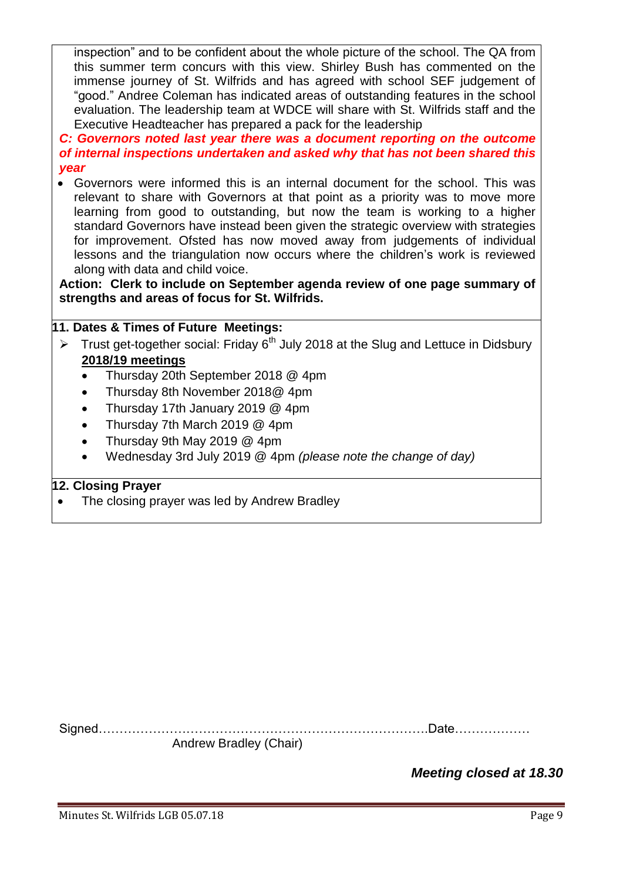inspection" and to be confident about the whole picture of the school. The QA from this summer term concurs with this view. Shirley Bush has commented on the immense journey of St. Wilfrids and has agreed with school SEF judgement of "good." Andree Coleman has indicated areas of outstanding features in the school evaluation. The leadership team at WDCE will share with St. Wilfrids staff and the Executive Headteacher has prepared a pack for the leadership

*C: Governors noted last year there was a document reporting on the outcome of internal inspections undertaken and asked why that has not been shared this year*

 Governors were informed this is an internal document for the school. This was relevant to share with Governors at that point as a priority was to move more learning from good to outstanding, but now the team is working to a higher standard Governors have instead been given the strategic overview with strategies for improvement. Ofsted has now moved away from judgements of individual lessons and the triangulation now occurs where the children's work is reviewed along with data and child voice.

**Action: Clerk to include on September agenda review of one page summary of strengths and areas of focus for St. Wilfrids.**

## **11. Dates & Times of Future Meetings:**

- Trust get-together social: Friday  $6<sup>th</sup>$  July 2018 at the Slug and Lettuce in Didsbury **2018/19 meetings**
	- Thursday 20th September 2018 @ 4pm
	- Thursday 8th November 2018@ 4pm
	- Thursday 17th January 2019 @ 4pm
	- Thursday 7th March 2019 @ 4pm
	- Thursday 9th May 2019 @ 4pm
	- Wednesday 3rd July 2019 @ 4pm *(please note the change of day)*

## **12. Closing Prayer**

The closing prayer was led by Andrew Bradley

Signed…………………………………………………………………….Date………………

Andrew Bradley (Chair)

*Meeting closed at 18.30*